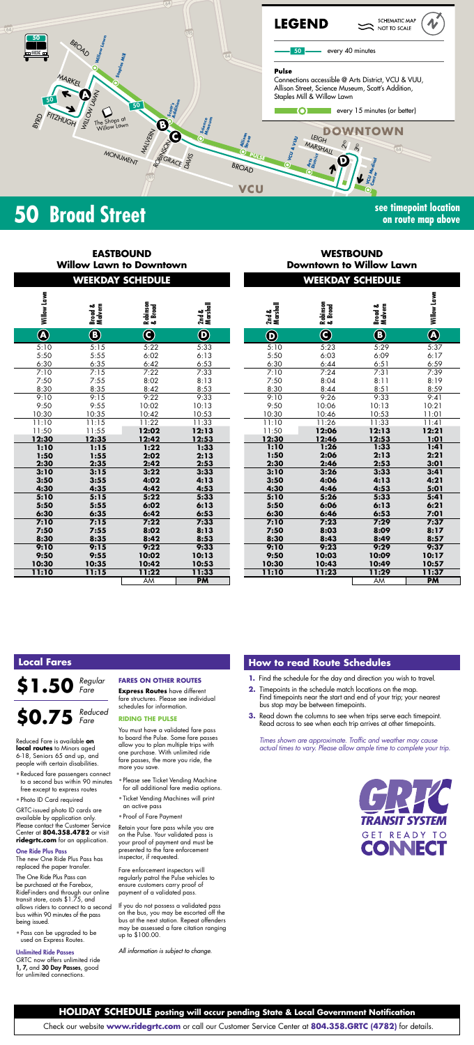

## **50 Broad Street see timepoint location**

**on route map above**

|                                                                                                                                                                                                                                                                                                                                                                                                                                                                                                                                                                                                                                                                                                                                                                                                                                                                                    | <b>EASTBOUND</b><br><b>Willow Lawn to Downtown</b><br><b>WEEKDAY SCHEDULE</b>                                                                                                                    |                    |                                                                         | <b>WESTBOUND</b><br><b>Downtown to Willow Lawn</b><br><b>WEEKDAY SCHEDULE</b>                                                      |                                                                    |                          |  |  |  |
|------------------------------------------------------------------------------------------------------------------------------------------------------------------------------------------------------------------------------------------------------------------------------------------------------------------------------------------------------------------------------------------------------------------------------------------------------------------------------------------------------------------------------------------------------------------------------------------------------------------------------------------------------------------------------------------------------------------------------------------------------------------------------------------------------------------------------------------------------------------------------------|--------------------------------------------------------------------------------------------------------------------------------------------------------------------------------------------------|--------------------|-------------------------------------------------------------------------|------------------------------------------------------------------------------------------------------------------------------------|--------------------------------------------------------------------|--------------------------|--|--|--|
|                                                                                                                                                                                                                                                                                                                                                                                                                                                                                                                                                                                                                                                                                                                                                                                                                                                                                    |                                                                                                                                                                                                  |                    |                                                                         |                                                                                                                                    |                                                                    |                          |  |  |  |
|                                                                                                                                                                                                                                                                                                                                                                                                                                                                                                                                                                                                                                                                                                                                                                                                                                                                                    |                                                                                                                                                                                                  |                    |                                                                         |                                                                                                                                    |                                                                    |                          |  |  |  |
| Willow Lawn<br>Broad &<br>Malvern                                                                                                                                                                                                                                                                                                                                                                                                                                                                                                                                                                                                                                                                                                                                                                                                                                                  | Robinson<br>& Broad                                                                                                                                                                              | 2nd &<br>Marshall  | 2nd &<br>Marshall                                                       | Robinson<br>& Broad                                                                                                                | Broad &<br>Malvern                                                 | Willow Lawn              |  |  |  |
| $\overline{\circledast}$<br>$\bigcircled{{\bf E}}$                                                                                                                                                                                                                                                                                                                                                                                                                                                                                                                                                                                                                                                                                                                                                                                                                                 | $\bf \widehat{c}$                                                                                                                                                                                | $\bf \Phi$         | $\bf \Phi$                                                              | $\bf{O}$                                                                                                                           | $\bigcircledast$                                                   | $\overline{\circledast}$ |  |  |  |
| 5:10<br>5:15                                                                                                                                                                                                                                                                                                                                                                                                                                                                                                                                                                                                                                                                                                                                                                                                                                                                       | 5:22                                                                                                                                                                                             | 5:33               | 5:10                                                                    | 5:23                                                                                                                               | 5:29                                                               | 5:37                     |  |  |  |
| 5:50<br>5:55<br>6:30<br>6:35                                                                                                                                                                                                                                                                                                                                                                                                                                                                                                                                                                                                                                                                                                                                                                                                                                                       | 6:02<br>6:42                                                                                                                                                                                     | 6:13<br>6:53       | 5:50<br>6:30                                                            | 6:03<br>6:44                                                                                                                       | 6:09<br>6:51                                                       | 6:17<br>6:59             |  |  |  |
| 7:10<br>7:15<br>7:55<br>7:50                                                                                                                                                                                                                                                                                                                                                                                                                                                                                                                                                                                                                                                                                                                                                                                                                                                       | 7:22<br>8:02                                                                                                                                                                                     | 7:33<br>8:13       | 7:10<br>7:50                                                            | 7:24<br>8:04                                                                                                                       | 7:31<br>8:11                                                       | 7:39<br>8:19             |  |  |  |
| 8:30<br>8:35<br>9:15<br>9:10                                                                                                                                                                                                                                                                                                                                                                                                                                                                                                                                                                                                                                                                                                                                                                                                                                                       | 8:42<br>9:22                                                                                                                                                                                     | 8:53<br>9:33       | 8:30<br>9:10                                                            | 8:44<br>9:26                                                                                                                       | 8:51<br>9:33                                                       | 8:59<br>9:41             |  |  |  |
| 9:50<br>9:55<br>10:30<br>10:35                                                                                                                                                                                                                                                                                                                                                                                                                                                                                                                                                                                                                                                                                                                                                                                                                                                     | 10:02<br>10:42                                                                                                                                                                                   | 10:13<br>10:53     | 9:50<br>10:30                                                           | 10:06<br>10:46                                                                                                                     | 10:13<br>10:53                                                     | 10:21<br>11:01           |  |  |  |
| 11:10<br>11:15                                                                                                                                                                                                                                                                                                                                                                                                                                                                                                                                                                                                                                                                                                                                                                                                                                                                     | 11:22                                                                                                                                                                                            | 11:33              | 11:10                                                                   | 11:26                                                                                                                              | 11:33                                                              | 11:41                    |  |  |  |
| 11:50<br>11:55<br>12:30<br>12:35                                                                                                                                                                                                                                                                                                                                                                                                                                                                                                                                                                                                                                                                                                                                                                                                                                                   | 12:02<br>12:42                                                                                                                                                                                   | 12:13<br>12:53     | 11:50<br>12:30                                                          | 12:06<br>12:46                                                                                                                     | 12:13<br>12:53                                                     | 12:21<br>1:01            |  |  |  |
| 1:10<br>1:15<br>1:50<br>1:55                                                                                                                                                                                                                                                                                                                                                                                                                                                                                                                                                                                                                                                                                                                                                                                                                                                       | 1:22<br>2:02                                                                                                                                                                                     | 1:33<br>2:13       | 1:10<br>1:50                                                            | 1:26<br>2:06                                                                                                                       | 1:33<br>2:13                                                       | 1:41<br>2:21             |  |  |  |
| 2:30<br>2:35<br>3:10<br>3:15                                                                                                                                                                                                                                                                                                                                                                                                                                                                                                                                                                                                                                                                                                                                                                                                                                                       | 2:42<br>3:22                                                                                                                                                                                     | 2:53<br>3:33       | 2:30<br>3:10                                                            | 2:46<br>3:26                                                                                                                       | 2:53<br>3:33                                                       | 3:01<br>3:41             |  |  |  |
| 3:50<br>3:55<br>4:30<br>4:35                                                                                                                                                                                                                                                                                                                                                                                                                                                                                                                                                                                                                                                                                                                                                                                                                                                       | 4:02<br>4:42                                                                                                                                                                                     | 4:13<br>4:53       | 3:50<br>4:30                                                            | 4:06<br>4:46                                                                                                                       | 4:13<br>4:53                                                       | 4:21<br>5:01             |  |  |  |
| 5:15<br>5:10<br>5:50<br>5:55                                                                                                                                                                                                                                                                                                                                                                                                                                                                                                                                                                                                                                                                                                                                                                                                                                                       | 5:22<br>6:02                                                                                                                                                                                     | 5:33<br>6:13       | 5:10                                                                    | 5:26<br>6:06                                                                                                                       | 5:33<br>6:13                                                       | 5:41<br>6:21             |  |  |  |
| 6:30<br>6:35                                                                                                                                                                                                                                                                                                                                                                                                                                                                                                                                                                                                                                                                                                                                                                                                                                                                       | 6:42                                                                                                                                                                                             | 6:53               | 5:50<br>6:30                                                            | 6:46                                                                                                                               | 6:53                                                               | 7:01                     |  |  |  |
| 7:10<br>7:15<br>7:50<br>7:55                                                                                                                                                                                                                                                                                                                                                                                                                                                                                                                                                                                                                                                                                                                                                                                                                                                       | 7:22<br>8:02                                                                                                                                                                                     | 7:33<br>8:13       | 7:10<br>7:50                                                            | 7:23<br>8:03                                                                                                                       | 7:29<br>8:09                                                       | 7:37<br>8:17             |  |  |  |
| 8:30<br>8:35<br>9:10<br>9:15                                                                                                                                                                                                                                                                                                                                                                                                                                                                                                                                                                                                                                                                                                                                                                                                                                                       | 8:42<br>9:22                                                                                                                                                                                     | 8:53<br>9:33       | 8:30<br>9:10                                                            | 8:43<br>9:23                                                                                                                       | 8:49<br>9:29                                                       | 8:57<br>9:37             |  |  |  |
| 9:50<br>9:55<br>10:30<br>10:35                                                                                                                                                                                                                                                                                                                                                                                                                                                                                                                                                                                                                                                                                                                                                                                                                                                     | 10:02<br>10:42                                                                                                                                                                                   | 10:13<br>10:53     | 9:50<br>10:30                                                           | 10:03<br>10:43                                                                                                                     | 10:09<br>10:49                                                     | 10:17<br>10:57           |  |  |  |
| <b>11:10</b><br>11:15                                                                                                                                                                                                                                                                                                                                                                                                                                                                                                                                                                                                                                                                                                                                                                                                                                                              | 11:22<br>AM                                                                                                                                                                                      | 11:33<br><b>PM</b> | <b>11:10</b>                                                            | 11:23                                                                                                                              | 11:29<br>AM                                                        | 11:37<br><b>PM</b>       |  |  |  |
| <b>Local Fares</b><br>\$1.50<br>Regular<br>Fare                                                                                                                                                                                                                                                                                                                                                                                                                                                                                                                                                                                                                                                                                                                                                                                                                                    | <b>FARES ON OTHER ROUTES</b>                                                                                                                                                                     |                    |                                                                         | <b>How to read Route Schedules</b>                                                                                                 |                                                                    |                          |  |  |  |
|                                                                                                                                                                                                                                                                                                                                                                                                                                                                                                                                                                                                                                                                                                                                                                                                                                                                                    | <b>Express Routes</b> have different                                                                                                                                                             |                    |                                                                         |                                                                                                                                    | 1. Find the schedule for the day and direction you wish to travel. |                          |  |  |  |
|                                                                                                                                                                                                                                                                                                                                                                                                                                                                                                                                                                                                                                                                                                                                                                                                                                                                                    | fare structures. Please see individual                                                                                                                                                           |                    |                                                                         | 2. Timepoints in the schedule match locations on the map.<br>Find timepoints near the start and end of your trip; your nearest     |                                                                    |                          |  |  |  |
|                                                                                                                                                                                                                                                                                                                                                                                                                                                                                                                                                                                                                                                                                                                                                                                                                                                                                    | schedules for information.<br><b>RIDING THE PULSE</b>                                                                                                                                            |                    | <b>3.</b> Read down the columns to see when trips serve each timepoint. | bus stop may be between timepoints.<br>Read across to see when each trip arrives at other timepoints.                              |                                                                    |                          |  |  |  |
|                                                                                                                                                                                                                                                                                                                                                                                                                                                                                                                                                                                                                                                                                                                                                                                                                                                                                    | You must have a validated fare pass<br>to board the Pulse. Some fare passes<br>allow you to plan multiple trips with<br>one purchase. With unlimited ride<br>fare passes, the more you ride, the |                    |                                                                         | Times shown are approximate. Traffic and weather may cause<br>actual times to vary. Please allow ample time to complete your trip. |                                                                    |                          |  |  |  |
|                                                                                                                                                                                                                                                                                                                                                                                                                                                                                                                                                                                                                                                                                                                                                                                                                                                                                    | more you save.<br>• Please see Ticket Vending Machine<br>for all additional fare media options.                                                                                                  |                    |                                                                         |                                                                                                                                    |                                                                    |                          |  |  |  |
|                                                                                                                                                                                                                                                                                                                                                                                                                                                                                                                                                                                                                                                                                                                                                                                                                                                                                    | • Ticket Vending Machines will print<br>an active pass                                                                                                                                           |                    |                                                                         |                                                                                                                                    |                                                                    |                          |  |  |  |
|                                                                                                                                                                                                                                                                                                                                                                                                                                                                                                                                                                                                                                                                                                                                                                                                                                                                                    | • Proof of Fare Payment                                                                                                                                                                          |                    |                                                                         |                                                                                                                                    | CHK                                                                |                          |  |  |  |
|                                                                                                                                                                                                                                                                                                                                                                                                                                                                                                                                                                                                                                                                                                                                                                                                                                                                                    | Retain your fare pass while you are<br>on the Pulse. Your validated pass is                                                                                                                      |                    |                                                                         |                                                                                                                                    | TRANSIT SYSTEM<br><b>GET READY TO</b>                              |                          |  |  |  |
|                                                                                                                                                                                                                                                                                                                                                                                                                                                                                                                                                                                                                                                                                                                                                                                                                                                                                    | your proof of payment and must be<br>presented to the fare enforcement<br>inspector, if requested.                                                                                               |                    |                                                                         |                                                                                                                                    | <b>CONNECT</b>                                                     |                          |  |  |  |
|                                                                                                                                                                                                                                                                                                                                                                                                                                                                                                                                                                                                                                                                                                                                                                                                                                                                                    | Fare enforcement inspectors will<br>regularly patrol the Pulse vehicles to<br>ensure customers carry proof of<br>payment of a validated pass.                                                    |                    |                                                                         |                                                                                                                                    |                                                                    |                          |  |  |  |
| \$0.75 Reduced<br>Reduced Fare is available <b>on</b><br>local routes to Minors aged<br>6-18, Seniors 65 and up, and<br>people with certain disabilities.<br>• Reduced fare passengers connect<br>to a second bus within 90 minutes<br>free except to express routes<br>• Photo ID Card required<br>GRTC-issued photo ID cards are<br>available by application only.<br>Please contact the Customer Service<br>Center at 804.358.4782 or visit<br>ridegrtc.com for an application.<br><b>One Ride Plus Pass</b><br>The new One Ride Plus Pass has<br>replaced the paper transfer.<br>The One Ride Plus Pass can<br>be purchased at the Farebox,<br>RideFinders and through our online<br>transit store, costs \$1.75, and<br>allows riders to connect to a second<br>bus within 90 minutes of the pass<br>being issued.<br>• Pass can be upgraded to be<br>used on Express Routes. | If you do not possess a validated pass<br>on the bus, you may be escorted off the<br>bus at the next station. Repeat offenders<br>may be assessed a fare citation ranging<br>up to \$100.00.     |                    |                                                                         |                                                                                                                                    |                                                                    |                          |  |  |  |



#### **HOLIDAY SCHEDULE posting will occur pending State & Local Government Notification**

#### **How to read Route Schedules**

- **1.** Find the schedule for the day and direction you wish to travel.
- **2.** Timepoints in the schedule match locations on the map.
- Find timepoints near the start and end of your trip; your nearest bus stop may be between timepoints.
- **3.** Read down the columns to see when trips serve each timepoint. Read across to see when each trip arrives at other timepoints.

## **Local Fares**

- Reduced fare passengers connect to a second bus within 90 minutes free except to express routes
- Photo ID Card required

#### One Ride Plus Pass

#### **\$0.75** *Reduced Fare*

#### Unlimited Ride Passes

### **FARES ON OTHER ROUTES**

#### **RIDING THE PULSE**

- Please see Ticket Vending Machine for all additional fare media options.
- Ticket Vending Machines will print an active pass
- Proof of Fare Payment